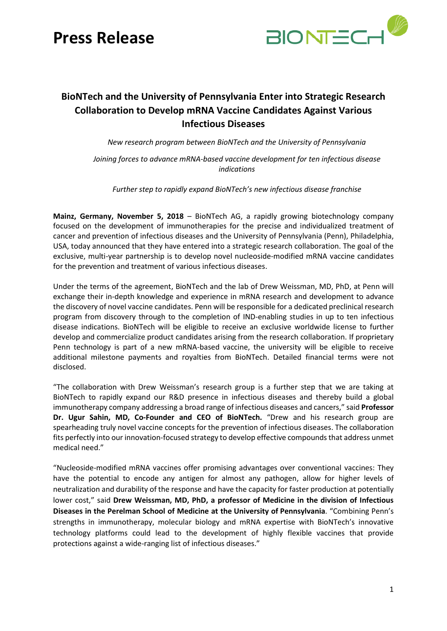# **Press Release**



### **BioNTech and the University of Pennsylvania Enter into Strategic Research Collaboration to Develop mRNA Vaccine Candidates Against Various Infectious Diseases**

*New research program between BioNTech and the University of Pennsylvania*

*Joining forces to advance mRNA-based vaccine development for ten infectious disease indications*

*Further step to rapidly expand BioNTech's new infectious disease franchise*

**Mainz, Germany, November 5, 2018** – BioNTech AG, a rapidly growing biotechnology company focused on the development of immunotherapies for the precise and individualized treatment of cancer and prevention of infectious diseases and the University of Pennsylvania (Penn), Philadelphia, USA, today announced that they have entered into a strategic research collaboration. The goal of the exclusive, multi-year partnership is to develop novel nucleoside-modified mRNA vaccine candidates for the prevention and treatment of various infectious diseases.

Under the terms of the agreement, BioNTech and the lab of Drew Weissman, MD, PhD, at Penn will exchange their in-depth knowledge and experience in mRNA research and development to advance the discovery of novel vaccine candidates. Penn will be responsible for a dedicated preclinical research program from discovery through to the completion of IND-enabling studies in up to ten infectious disease indications. BioNTech will be eligible to receive an exclusive worldwide license to further develop and commercialize product candidates arising from the research collaboration. If proprietary Penn technology is part of a new mRNA-based vaccine, the university will be eligible to receive additional milestone payments and royalties from BioNTech. Detailed financial terms were not disclosed.

"The collaboration with Drew Weissman's research group is a further step that we are taking at BioNTech to rapidly expand our R&D presence in infectious diseases and thereby build a global immunotherapy company addressing a broad range of infectious diseases and cancers," said **Professor Dr. Ugur Sahin, MD, Co-Founder and CEO of BioNTech.** "Drew and his research group are spearheading truly novel vaccine concepts for the prevention of infectious diseases. The collaboration fits perfectly into our innovation-focused strategy to develop effective compounds that address unmet medical need."

"Nucleoside-modified mRNA vaccines offer promising advantages over conventional vaccines: They have the potential to encode any antigen for almost any pathogen, allow for higher levels of neutralization and durability of the response and have the capacity for faster production at potentially lower cost," said **Drew Weissman, MD, PhD, a professor of Medicine in the division of Infectious Diseases in the Perelman School of Medicine at the University of Pennsylvania**. "Combining Penn's strengths in immunotherapy, molecular biology and mRNA expertise with BioNTech's innovative technology platforms could lead to the development of highly flexible vaccines that provide protections against a wide-ranging list of infectious diseases."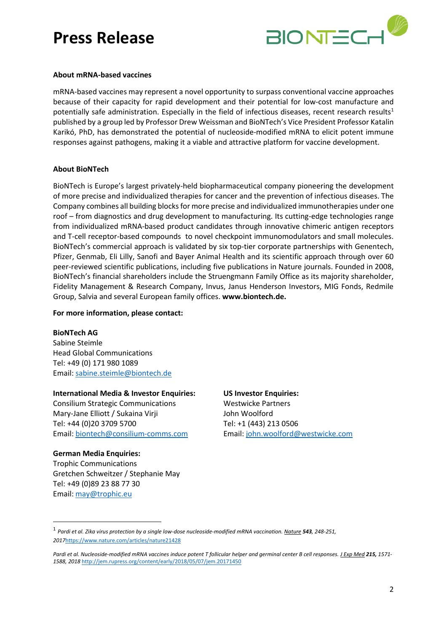# **Press Release**



#### **About mRNA-based vaccines**

mRNA-based vaccines may represent a novel opportunity to surpass conventional vaccine approaches because of their capacity for rapid development and their potential for low-cost manufacture and potentially safe administration. Especially in the field of infectious diseases, recent research results<sup>1</sup> published by a group led by Professor Drew Weissman and BioNTech's Vice President Professor Katalin Karikó, PhD, has demonstrated the potential of nucleoside-modified mRNA to elicit potent immune responses against pathogens, making it a viable and attractive platform for vaccine development.

#### **About BioNTech**

BioNTech is Europe's largest privately-held biopharmaceutical company pioneering the development of more precise and individualized therapies for cancer and the prevention of infectious diseases. The Company combines all building blocks for more precise and individualized immunotherapies under one roof – from diagnostics and drug development to manufacturing. Its cutting-edge technologies range from individualized mRNA-based product candidates through innovative chimeric antigen receptors and T-cell receptor-based compounds to novel checkpoint immunomodulators and small molecules. BioNTech's commercial approach is validated by six top-tier corporate partnerships with Genentech, Pfizer, Genmab, Eli Lilly, Sanofi and Bayer Animal Health and its scientific approach through over 60 peer-reviewed scientific publications, including five publications in Nature journals. Founded in 2008, BioNTech's financial shareholders include the Struengmann Family Office as its majority shareholder, Fidelity Management & Research Company, Invus, Janus Henderson Investors, MIG Fonds, Redmile Group, Salvia and several European family offices. **[www.biontech.de.](http://www.biontech.de/)** 

#### **For more information, please contact:**

**BioNTech AG** Sabine Steimle Head Global Communications

Tel: +49 (0) 171 980 1089 Email: sabine.steimle@biontech.de

### **International Media & Investor Enquiries:**

Consilium Strategic Communications Mary-Jane Elliott / Sukaina Virji Tel: +44 (0)20 3709 5700 Email[: biontech@consilium-comms.com](mailto:biontech@consilium-comms.com)

#### **German Media Enquiries:**

1

Trophic Communications Gretchen Schweitzer / Stephanie May Tel: +49 (0)89 23 88 77 30 Email: may@trophic.eu

#### **US Investor Enquiries:**

Westwicke Partners John Woolford Tel: +1 (443) 213 0506 Email[: john.woolford@westwicke.com](mailto:john.woolford@westwicke.com)

<sup>1</sup> *Pardi et al. Zika virus protection by a single low-dose nucleoside-modified mRNA vaccination. Nature 543, 248-251, 2017*<https://www.nature.com/articles/nature21428>

*Pardi et al. Nucleoside-modified mRNA vaccines induce potent T follicular helper and germinal center B cell responses. J Exp Med 215, 1571- 1588, 2018* <http://jem.rupress.org/content/early/2018/05/07/jem.20171450>